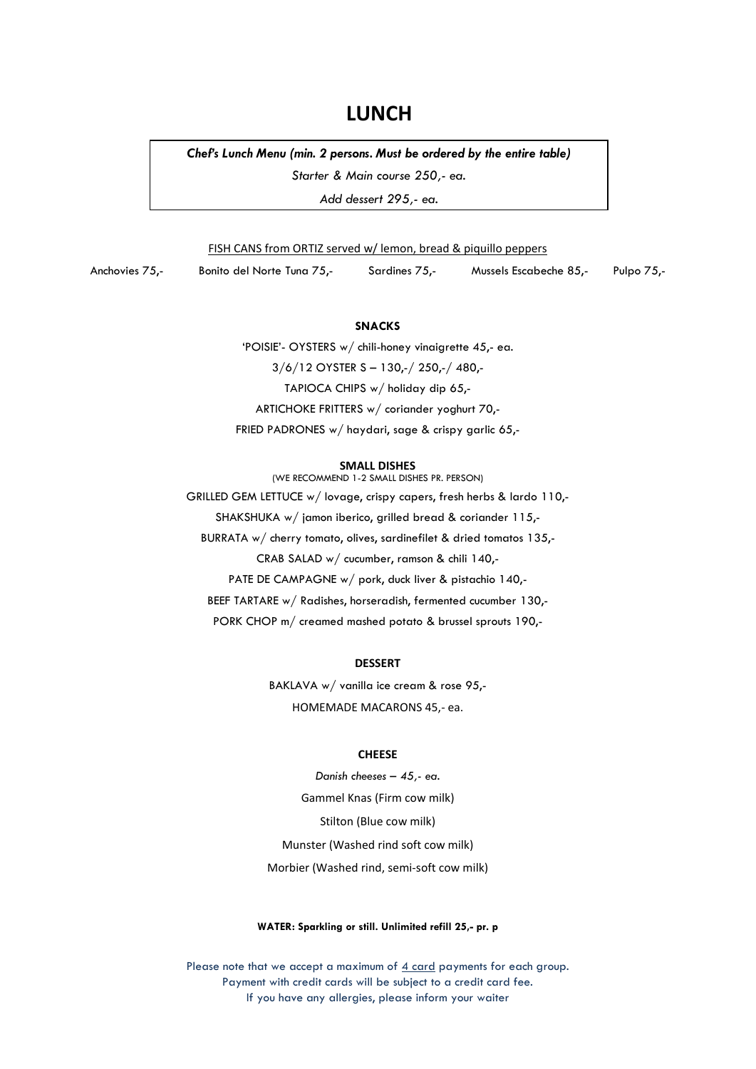## **LUNCH**

*Chef's Lunch Menu (min. 2 persons. Must be ordered by the entire table)*

*Starter & Main course 250,- ea.*

*Add dessert 295,- ea.*

FISH CANS from ORTIZ served w/ lemon, bread & piquillo peppers

Anchovies 75,- Bonito del Norte Tuna 75,- Sardines 75,- Mussels Escabeche 85,- Pulpo 75,-

### **SNACKS**

'POISIE'- OYSTERS w/ chili-honey vinaigrette 45,- ea. 3/6/12 OYSTER S – 130,-/ 250,-/ 480,- TAPIOCA CHIPS w/ holiday dip 65,- ARTICHOKE FRITTERS w/ coriander yoghurt 70,-

FRIED PADRONES w/ haydari, sage & crispy garlic 65,-

#### **SMALL DISHES**

(WE RECOMMEND 1-2 SMALL DISHES PR. PERSON)

GRILLED GEM LETTUCE w/ lovage, crispy capers, fresh herbs & lardo 110,-

SHAKSHUKA w/ jamon iberico, grilled bread & coriander 115,-

BURRATA w/ cherry tomato, olives, sardinefilet & dried tomatos 135,-

CRAB SALAD w/ cucumber, ramson & chili 140,-

PATE DE CAMPAGNE w/ pork, duck liver & pistachio 140,-

BEEF TARTARE w/ Radishes, horseradish, fermented cucumber 130,-

PORK CHOP m/ creamed mashed potato & brussel sprouts 190,-

### **DESSERT**

BAKLAVA w/ vanilla ice cream & rose 95,- HOMEMADE MACARONS 45,- ea.

### **CHEESE**

*Danish cheeses – 45,- ea.* Gammel Knas (Firm cow milk) Stilton (Blue cow milk) Munster (Washed rind soft cow milk) Morbier (Washed rind, semi-soft cow milk)

### **WATER: Sparkling or still. Unlimited refill 25,- pr. p**

Please note that we accept a maximum of  $\frac{4 \text{ card}}{2 \text{ arg}}$  payments for each group. Payment with credit cards will be subject to a credit card fee. If you have any allergies, please inform your waiter